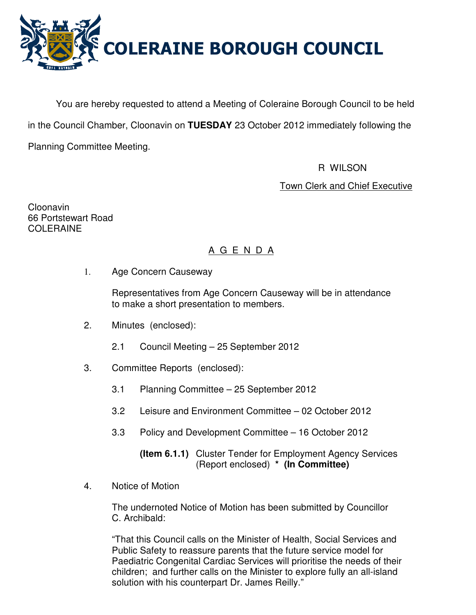

You are hereby requested to attend a Meeting of Coleraine Borough Council to be held in the Council Chamber, Cloonavin on **TUESDAY** 23 October 2012 immediately following the Planning Committee Meeting.

R WILSON

Town Clerk and Chief Executive

Cloonavin 66 Portstewart Road COLERAINE

# A G E N D A

1. Age Concern Causeway

 Representatives from Age Concern Causeway will be in attendance to make a short presentation to members.

- 2. Minutes (enclosed):
	- 2.1 Council Meeting 25 September 2012
- 3. Committee Reports (enclosed):
	- 3.1 Planning Committee 25 September 2012
	- 3.2 Leisure and Environment Committee 02 October 2012
	- 3.3 Policy and Development Committee 16 October 2012

 **(Item 6.1.1)** Cluster Tender for Employment Agency Services (Report enclosed) **\* (In Committee)** 

4. Notice of Motion

 The undernoted Notice of Motion has been submitted by Councillor C. Archibald:

 "That this Council calls on the Minister of Health, Social Services and Public Safety to reassure parents that the future service model for Paediatric Congenital Cardiac Services will prioritise the needs of their children; and further calls on the Minister to explore fully an all-island solution with his counterpart Dr. James Reilly."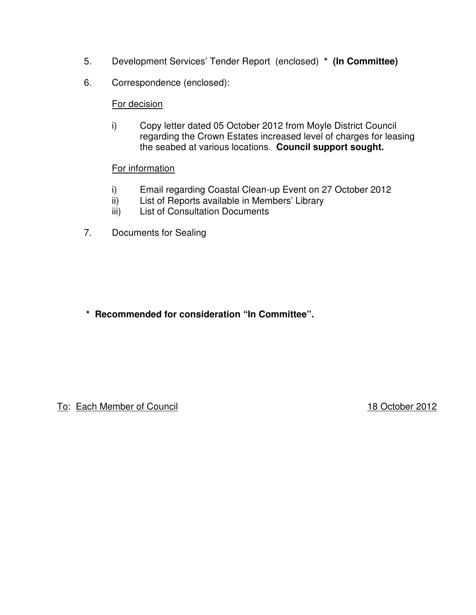- 5. Development Services' Tender Report (enclosed) **\* (In Committee)**
- 6. Correspondence (enclosed):

### For decision

 i) Copy letter dated 05 October 2012 from Moyle District Council regarding the Crown Estates increased level of charges for leasing the seabed at various locations. **Council support sought.** 

### For information

- i) Email regarding Coastal Clean-up Event on 27 October 2012
- ii) List of Reports available in Members' Library<br>iii) List of Consultation Documents
- **List of Consultation Documents**
- 7. Documents for Sealing

**\* Recommended for consideration "In Committee".** 

To: Each Member of Council **18 October 2012**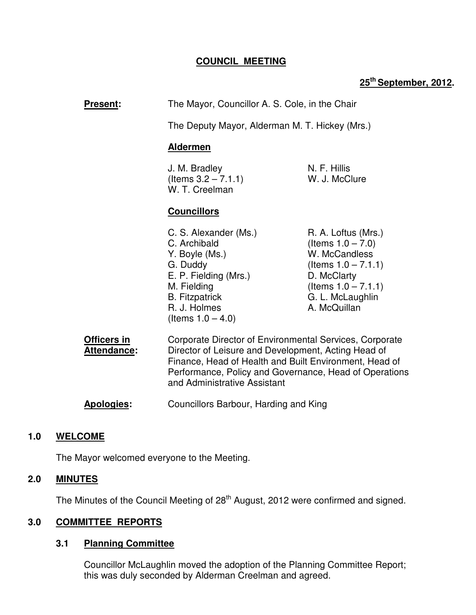# **COUNCIL MEETING**

# **25th September, 2012.**

| <b>Present:</b>            | The Mayor, Councillor A. S. Cole, in the Chair                                                                                                                                                                                                                     |                                                                                                                                                                     |
|----------------------------|--------------------------------------------------------------------------------------------------------------------------------------------------------------------------------------------------------------------------------------------------------------------|---------------------------------------------------------------------------------------------------------------------------------------------------------------------|
|                            | The Deputy Mayor, Alderman M. T. Hickey (Mrs.)                                                                                                                                                                                                                     |                                                                                                                                                                     |
|                            | <b>Aldermen</b><br>N. F. Hillis<br>J. M. Bradley<br>(Items $3.2 - 7.1.1$ )<br>W. J. McClure<br>W. T. Creelman<br><b>Councillors</b>                                                                                                                                |                                                                                                                                                                     |
|                            |                                                                                                                                                                                                                                                                    |                                                                                                                                                                     |
|                            |                                                                                                                                                                                                                                                                    |                                                                                                                                                                     |
|                            | C. S. Alexander (Ms.)<br>C. Archibald<br>Y. Boyle (Ms.)<br>G. Duddy<br>E. P. Fielding (Mrs.)<br>M. Fielding<br><b>B.</b> Fitzpatrick<br>R. J. Holmes<br>(Items $1.0 - 4.0$ )                                                                                       | R. A. Loftus (Mrs.)<br>(Items $1.0 - 7.0$ )<br>W. McCandless<br>(Items $1.0 - 7.1.1$ )<br>D. McClarty<br>(Items $1.0 - 7.1.1$ )<br>G. L. McLaughlin<br>A. McQuillan |
| Officers in<br>Attendance: | Corporate Director of Environmental Services, Corporate<br>Director of Leisure and Development, Acting Head of<br>Finance, Head of Health and Built Environment, Head of<br>Performance, Policy and Governance, Head of Operations<br>and Administrative Assistant |                                                                                                                                                                     |
| Apologies:                 | Councillors Barbour, Harding and King                                                                                                                                                                                                                              |                                                                                                                                                                     |

# **1.0 WELCOME**

The Mayor welcomed everyone to the Meeting.

### **2.0 MINUTES**

The Minutes of the Council Meeting of 28<sup>th</sup> August, 2012 were confirmed and signed.

# **3.0 COMMITTEE REPORTS**

### **3.1 Planning Committee**

 Councillor McLaughlin moved the adoption of the Planning Committee Report; this was duly seconded by Alderman Creelman and agreed.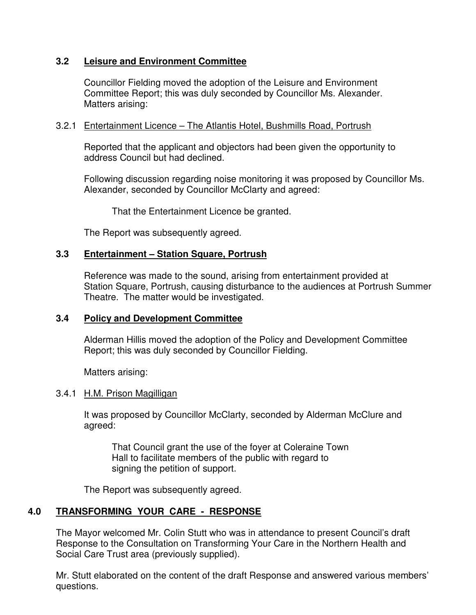## **3.2 Leisure and Environment Committee**

 Councillor Fielding moved the adoption of the Leisure and Environment Committee Report; this was duly seconded by Councillor Ms. Alexander. Matters arising:

### 3.2.1 Entertainment Licence – The Atlantis Hotel, Bushmills Road, Portrush

 Reported that the applicant and objectors had been given the opportunity to address Council but had declined.

Following discussion regarding noise monitoring it was proposed by Councillor Ms. Alexander, seconded by Councillor McClarty and agreed:

That the Entertainment Licence be granted.

The Report was subsequently agreed.

### **3.3 Entertainment – Station Square, Portrush**

 Reference was made to the sound, arising from entertainment provided at Station Square, Portrush, causing disturbance to the audiences at Portrush Summer Theatre. The matter would be investigated.

### **3.4 Policy and Development Committee**

 Alderman Hillis moved the adoption of the Policy and Development Committee Report; this was duly seconded by Councillor Fielding.

Matters arising:

### 3.4.1 H.M. Prison Magilligan

 It was proposed by Councillor McClarty, seconded by Alderman McClure and agreed:

 That Council grant the use of the foyer at Coleraine Town Hall to facilitate members of the public with regard to signing the petition of support.

The Report was subsequently agreed.

# **4.0 TRANSFORMING YOUR CARE - RESPONSE**

 The Mayor welcomed Mr. Colin Stutt who was in attendance to present Council's draft Response to the Consultation on Transforming Your Care in the Northern Health and Social Care Trust area (previously supplied).

Mr. Stutt elaborated on the content of the draft Response and answered various members' questions.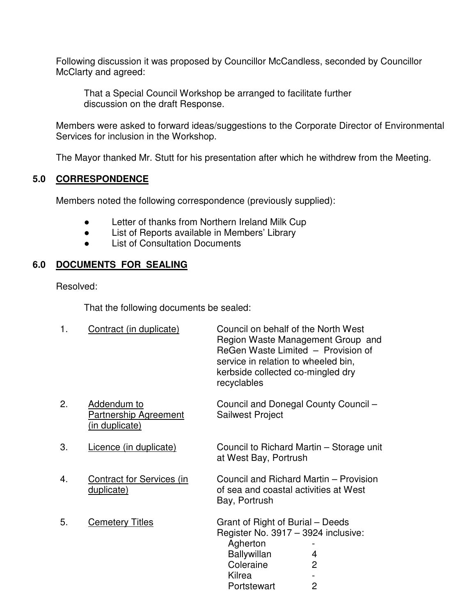Following discussion it was proposed by Councillor McCandless, seconded by Councillor McClarty and agreed:

 That a Special Council Workshop be arranged to facilitate further discussion on the draft Response.

Members were asked to forward ideas/suggestions to the Corporate Director of Environmental Services for inclusion in the Workshop.

The Mayor thanked Mr. Stutt for his presentation after which he withdrew from the Meeting.

### **5.0 CORRESPONDENCE**

Members noted the following correspondence (previously supplied):

- Letter of thanks from Northern Ireland Milk Cup
- List of Reports available in Members' Library
- List of Consultation Documents

# **6.0 DOCUMENTS FOR SEALING**

Resolved:

That the following documents be sealed:

| 1. | Contract (in duplicate)                                       | Council on behalf of the North West<br>Region Waste Management Group and<br>ReGen Waste Limited - Provision of<br>service in relation to wheeled bin,<br>kerbside collected co-mingled dry<br>recyclables |
|----|---------------------------------------------------------------|-----------------------------------------------------------------------------------------------------------------------------------------------------------------------------------------------------------|
| 2. | Addendum to<br><b>Partnership Agreement</b><br>(in duplicate) | Council and Donegal County Council -<br><b>Sailwest Project</b>                                                                                                                                           |
| 3. | Licence (in duplicate)                                        | Council to Richard Martin – Storage unit<br>at West Bay, Portrush                                                                                                                                         |
| 4. | <b>Contract for Services (in</b><br>duplicate)                | Council and Richard Martin – Provision<br>of sea and coastal activities at West<br>Bay, Portrush                                                                                                          |
| 5. | <b>Cemetery Titles</b>                                        | Grant of Right of Burial – Deeds<br>Register No. 3917 - 3924 inclusive:<br>Agherton<br><b>Ballywillan</b><br>4<br>Coleraine<br>$\overline{2}$<br>Kilrea<br>$\overline{2}$<br>Portstewart                  |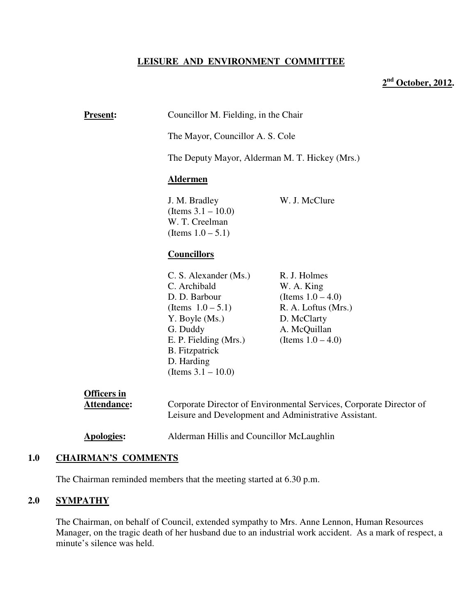#### **LEISURE AND ENVIRONMENT COMMITTEE**

## **2 nd October, 2012.**

| <b>Present:</b>                   | Councillor M. Fielding, in the Chair                                                                                                                                                                  |                                                                                                                                  |  |
|-----------------------------------|-------------------------------------------------------------------------------------------------------------------------------------------------------------------------------------------------------|----------------------------------------------------------------------------------------------------------------------------------|--|
|                                   | The Mayor, Councillor A. S. Cole                                                                                                                                                                      |                                                                                                                                  |  |
|                                   | The Deputy Mayor, Alderman M. T. Hickey (Mrs.)<br><b>Aldermen</b><br>W. J. McClure<br>J. M. Bradley<br>(Items $3.1 - 10.0$ )<br>W. T. Creelman<br>(Items $1.0 - 5.1$ )<br><b>Councillors</b>          |                                                                                                                                  |  |
|                                   |                                                                                                                                                                                                       |                                                                                                                                  |  |
|                                   |                                                                                                                                                                                                       |                                                                                                                                  |  |
|                                   |                                                                                                                                                                                                       |                                                                                                                                  |  |
|                                   | C. S. Alexander (Ms.)<br>C. Archibald<br>D. D. Barbour<br>(Items $1.0 - 5.1$ )<br>Y. Boyle (Ms.)<br>G. Duddy<br>E. P. Fielding (Mrs.)<br><b>B.</b> Fitzpatrick<br>D. Harding<br>(Items $3.1 - 10.0$ ) | R. J. Holmes<br>W. A. King<br>(Items $1.0 - 4.0$ )<br>R. A. Loftus (Mrs.)<br>D. McClarty<br>A. McQuillan<br>(Items $1.0 - 4.0$ ) |  |
| <b>Officers in</b><br>Attendance: | Corporate Director of Environmental Services, Corporate Director of<br>Leisure and Development and Administrative Assistant.                                                                          |                                                                                                                                  |  |
| <b>Apologies:</b>                 | Alderman Hillis and Councillor McLaughlin                                                                                                                                                             |                                                                                                                                  |  |

### **1.0 CHAIRMAN'S COMMENTS**

The Chairman reminded members that the meeting started at 6.30 p.m.

## **2.0 SYMPATHY**

The Chairman, on behalf of Council, extended sympathy to Mrs. Anne Lennon, Human Resources Manager, on the tragic death of her husband due to an industrial work accident. As a mark of respect, a minute's silence was held.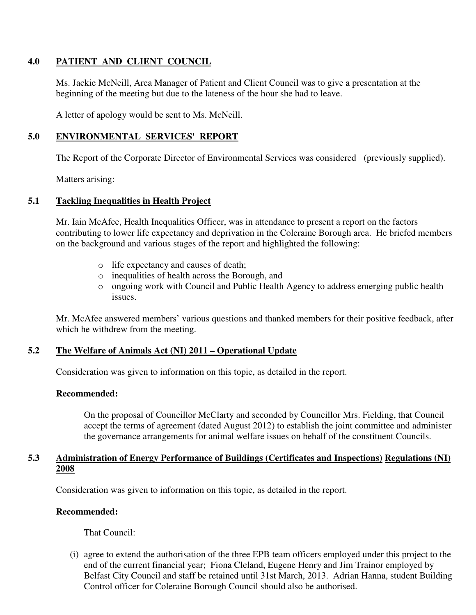#### **4.0 PATIENT AND CLIENT COUNCIL**

Ms. Jackie McNeill, Area Manager of Patient and Client Council was to give a presentation at the beginning of the meeting but due to the lateness of the hour she had to leave.

A letter of apology would be sent to Ms. McNeill.

### **5.0 ENVIRONMENTAL SERVICES' REPORT**

The Report of the Corporate Director of Environmental Services was considered (previously supplied).

Matters arising:

#### **5.1 Tackling Inequalities in Health Project**

Mr. Iain McAfee, Health Inequalities Officer, was in attendance to present a report on the factors contributing to lower life expectancy and deprivation in the Coleraine Borough area. He briefed members on the background and various stages of the report and highlighted the following:

- o life expectancy and causes of death;
- o inequalities of health across the Borough, and
- o ongoing work with Council and Public Health Agency to address emerging public health issues.

Mr. McAfee answered members' various questions and thanked members for their positive feedback, after which he withdrew from the meeting.

### **5.2 The Welfare of Animals Act (NI) 2011 – Operational Update**

Consideration was given to information on this topic, as detailed in the report.

#### **Recommended:**

On the proposal of Councillor McClarty and seconded by Councillor Mrs. Fielding, that Council accept the terms of agreement (dated August 2012) to establish the joint committee and administer the governance arrangements for animal welfare issues on behalf of the constituent Councils.

#### **5.3 Administration of Energy Performance of Buildings (Certificates and Inspections) Regulations (NI) 2008**

Consideration was given to information on this topic, as detailed in the report.

#### **Recommended:**

That Council:

(i) agree to extend the authorisation of the three EPB team officers employed under this project to the end of the current financial year; Fiona Cleland, Eugene Henry and Jim Trainor employed by Belfast City Council and staff be retained until 31st March, 2013. Adrian Hanna, student Building Control officer for Coleraine Borough Council should also be authorised.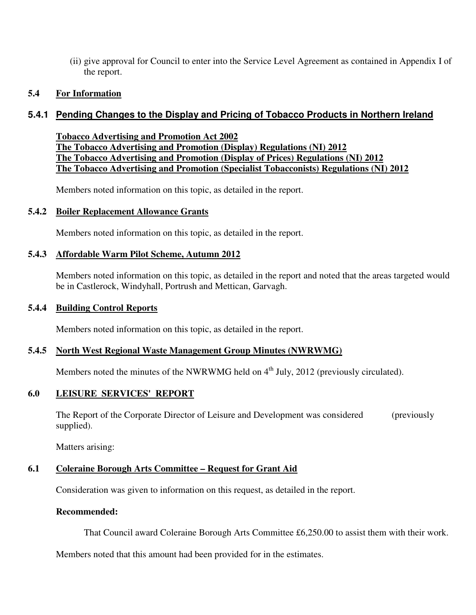(ii) give approval for Council to enter into the Service Level Agreement as contained in Appendix I of the report.

#### **5.4 For Information**

### **5.4.1 Pending Changes to the Display and Pricing of Tobacco Products in Northern Ireland**

**Tobacco Advertising and Promotion Act 2002 The Tobacco Advertising and Promotion (Display) Regulations (NI) 2012 The Tobacco Advertising and Promotion (Display of Prices) Regulations (NI) 2012 The Tobacco Advertising and Promotion (Specialist Tobacconists) Regulations (NI) 2012**

Members noted information on this topic, as detailed in the report.

#### **5.4.2 Boiler Replacement Allowance Grants**

Members noted information on this topic, as detailed in the report.

#### **5.4.3 Affordable Warm Pilot Scheme, Autumn 2012**

Members noted information on this topic, as detailed in the report and noted that the areas targeted would be in Castlerock, Windyhall, Portrush and Mettican, Garvagh.

#### **5.4.4 Building Control Reports**

Members noted information on this topic, as detailed in the report.

#### **5.4.5 North West Regional Waste Management Group Minutes (NWRWMG)**

Members noted the minutes of the NWRWMG held on 4<sup>th</sup> July, 2012 (previously circulated).

#### **6.0 LEISURE SERVICES' REPORT**

 The Report of the Corporate Director of Leisure and Development was considered (previously supplied).

Matters arising:

#### **6.1 Coleraine Borough Arts Committee – Request for Grant Aid**

Consideration was given to information on this request, as detailed in the report.

#### **Recommended:**

That Council award Coleraine Borough Arts Committee £6,250.00 to assist them with their work.

Members noted that this amount had been provided for in the estimates.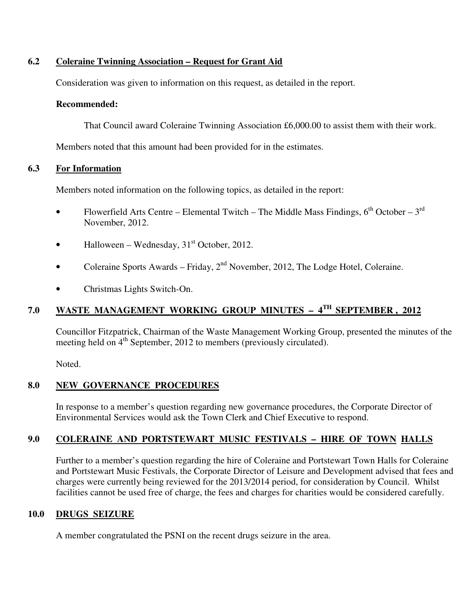#### **6.2 Coleraine Twinning Association – Request for Grant Aid**

Consideration was given to information on this request, as detailed in the report.

#### **Recommended:**

That Council award Coleraine Twinning Association £6,000.00 to assist them with their work.

Members noted that this amount had been provided for in the estimates.

### **6.3 For Information**

Members noted information on the following topics, as detailed in the report:

- Flowerfield Arts Centre Elemental Twitch The Middle Mass Findings,  $6^{th}$  October  $3^{rd}$ November, 2012.
- Halloween Wednesday,  $31<sup>st</sup>$  October, 2012.
- Coleraine Sports Awards Friday,  $2<sup>nd</sup>$  November, 2012, The Lodge Hotel, Coleraine.
- Christmas Lights Switch-On.

# **7.0 WASTE MANAGEMENT WORKING GROUP MINUTES – 4 TH SEPTEMBER , 2012**

Councillor Fitzpatrick, Chairman of the Waste Management Working Group, presented the minutes of the meeting held on  $4<sup>th</sup>$  September, 2012 to members (previously circulated).

Noted.

### **8.0 NEW GOVERNANCE PROCEDURES**

In response to a member's question regarding new governance procedures, the Corporate Director of Environmental Services would ask the Town Clerk and Chief Executive to respond.

# **9.0 COLERAINE AND PORTSTEWART MUSIC FESTIVALS – HIRE OF TOWN HALLS**

Further to a member's question regarding the hire of Coleraine and Portstewart Town Halls for Coleraine and Portstewart Music Festivals, the Corporate Director of Leisure and Development advised that fees and charges were currently being reviewed for the 2013/2014 period, for consideration by Council. Whilst facilities cannot be used free of charge, the fees and charges for charities would be considered carefully.

### **10.0 DRUGS SEIZURE**

A member congratulated the PSNI on the recent drugs seizure in the area.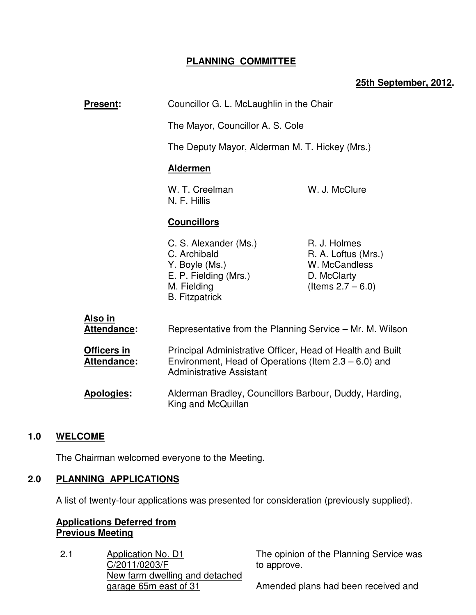### **PLANNING COMMITTEE**

### **25th September, 2012.**

| Present:                             | Councillor G. L. McLaughlin in the Chair                                                                                                                 |                                                                                             |
|--------------------------------------|----------------------------------------------------------------------------------------------------------------------------------------------------------|---------------------------------------------------------------------------------------------|
|                                      | The Mayor, Councillor A. S. Cole                                                                                                                         |                                                                                             |
|                                      | The Deputy Mayor, Alderman M. T. Hickey (Mrs.)                                                                                                           |                                                                                             |
|                                      | <b>Aldermen</b>                                                                                                                                          |                                                                                             |
|                                      | W. J. McClure<br>W. T. Creelman<br>N. F. Hillis                                                                                                          |                                                                                             |
|                                      | <b>Councillors</b>                                                                                                                                       |                                                                                             |
|                                      | C. S. Alexander (Ms.)<br>C. Archibald<br>Y. Boyle (Ms.)<br>E. P. Fielding (Mrs.)<br>M. Fielding<br><b>B.</b> Fitzpatrick                                 | R. J. Holmes<br>R. A. Loftus (Mrs.)<br>W. McCandless<br>D. McClarty<br>(Items $2.7 - 6.0$ ) |
| <u>Also in</u><br><b>Attendance:</b> | Representative from the Planning Service - Mr. M. Wilson                                                                                                 |                                                                                             |
| Officers in<br>Attendance:           | Principal Administrative Officer, Head of Health and Built<br>Environment, Head of Operations (Item $2.3 - 6.0$ ) and<br><b>Administrative Assistant</b> |                                                                                             |
| Apologies:                           | Alderman Bradley, Councillors Barbour, Duddy, Harding,<br>King and McQuillan                                                                             |                                                                                             |
|                                      |                                                                                                                                                          |                                                                                             |

### **1.0 WELCOME**

The Chairman welcomed everyone to the Meeting.

### **2.0 PLANNING APPLICATIONS**

A list of twenty-four applications was presented for consideration (previously supplied).

## **Applications Deferred from Previous Meeting**

2.1 Application No. D1 C/2011/0203/F New farm dwelling and detached garage 65m east of 31

The opinion of the Planning Service was to approve.

Amended plans had been received and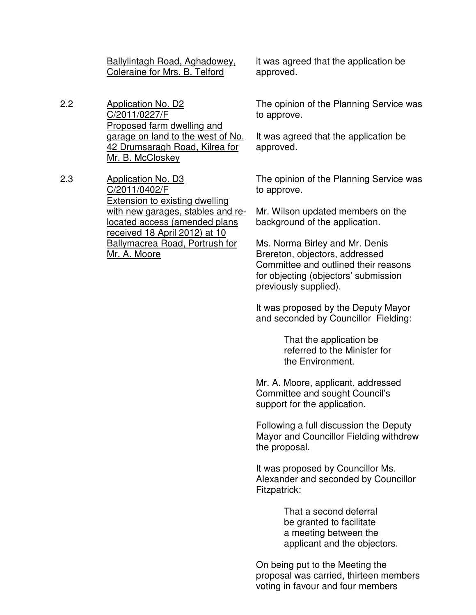Ballylintagh Road, Aghadowey, Coleraine for Mrs. B. Telford

2.2 Application No. D2 C/2011/0227/F Proposed farm dwelling and garage on land to the west of No. 42 Drumsaragh Road, Kilrea for Mr. B. McCloskey

2.3 Application No. D3 C/2011/0402/F Extension to existing dwelling with new garages, stables and relocated access (amended plans received 18 April 2012) at 10 Ballymacrea Road, Portrush for Mr. A. Moore

it was agreed that the application be approved.

The opinion of the Planning Service was to approve.

It was agreed that the application be approved.

The opinion of the Planning Service was to approve.

Mr. Wilson updated members on the background of the application.

Ms. Norma Birley and Mr. Denis Brereton, objectors, addressed Committee and outlined their reasons for objecting (objectors' submission previously supplied).

It was proposed by the Deputy Mayor and seconded by Councillor Fielding:

> That the application be referred to the Minister for the Environment.

Mr. A. Moore, applicant, addressed Committee and sought Council's support for the application.

Following a full discussion the Deputy Mayor and Councillor Fielding withdrew the proposal.

It was proposed by Councillor Ms. Alexander and seconded by Councillor Fitzpatrick:

> That a second deferral be granted to facilitate a meeting between the applicant and the objectors.

On being put to the Meeting the proposal was carried, thirteen members voting in favour and four members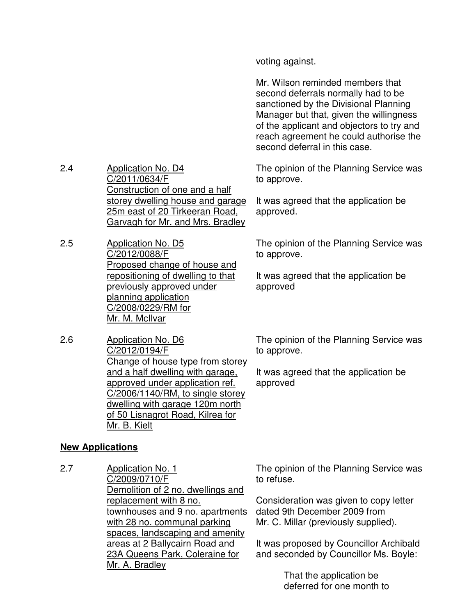voting against.

Mr. Wilson reminded members that second deferrals normally had to be sanctioned by the Divisional Planning Manager but that, given the willingness of the applicant and objectors to try and reach agreement he could authorise the second deferral in this case.

The opinion of the Planning Service was to approve.

It was agreed that the application be approved.

The opinion of the Planning Service was to approve.

It was agreed that the application be approved

2.6 Application No. D6 C/2012/0194/F Change of house type from storey and a half dwelling with garage, approved under application ref. C/2006/1140/RM, to single storey dwelling with garage 120m north of 50 Lisnagrot Road, Kilrea for Mr. B. Kielt

The opinion of the Planning Service was to approve.

It was agreed that the application be approved

### **New Applications**

2.4 Application No. D4

2.5 Application No. D5

C/2011/0634/F

C/2012/0088/F

Mr. M. McIlvar

planning application C/2008/0229/RM for

Construction of one and a half storey dwelling house and garage 25m east of 20 Tirkeeran Road, Garvagh for Mr. and Mrs. Bradley

Proposed change of house and repositioning of dwelling to that previously approved under

2.7 Application No. 1 C/2009/0710/F Demolition of 2 no. dwellings and replacement with 8 no. townhouses and 9 no. apartments with 28 no. communal parking spaces, landscaping and amenity areas at 2 Ballycairn Road and 23A Queens Park, Coleraine for Mr. A. Bradley

The opinion of the Planning Service was to refuse.

Consideration was given to copy letter dated 9th December 2009 from Mr. C. Millar (previously supplied).

It was proposed by Councillor Archibald and seconded by Councillor Ms. Boyle:

> That the application be deferred for one month to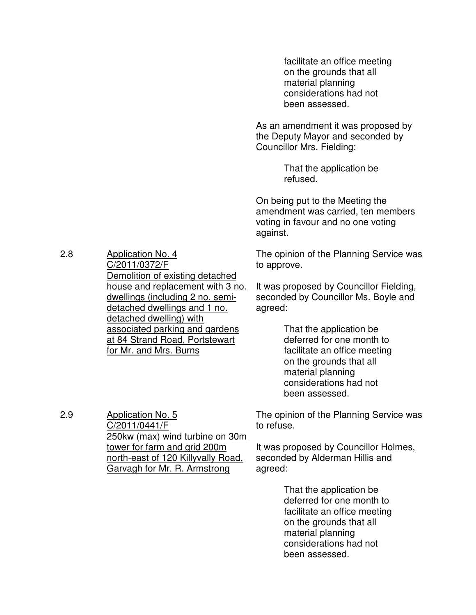facilitate an office meeting on the grounds that all material planning considerations had not been assessed.

As an amendment it was proposed by the Deputy Mayor and seconded by Councillor Mrs. Fielding:

> That the application be refused.

On being put to the Meeting the amendment was carried, ten members voting in favour and no one voting against.

The opinion of the Planning Service was to approve.

It was proposed by Councillor Fielding, seconded by Councillor Ms. Boyle and agreed:

> That the application be deferred for one month to facilitate an office meeting on the grounds that all material planning considerations had not been assessed.

The opinion of the Planning Service was to refuse.

It was proposed by Councillor Holmes, seconded by Alderman Hillis and agreed:

> That the application be deferred for one month to facilitate an office meeting on the grounds that all material planning considerations had not been assessed.

2.8 Application No. 4 C/2011/0372/F Demolition of existing detached house and replacement with 3 no. dwellings (including 2 no. semidetached dwellings and 1 no. detached dwelling) with associated parking and gardens at 84 Strand Road, Portstewart for Mr. and Mrs. Burns

2.9

Application No. 5 C/2011/0441/F 250kw (max) wind turbine on 30m tower for farm and grid 200m north-east of 120 Killyvally Road, Garvagh for Mr. R. Armstrong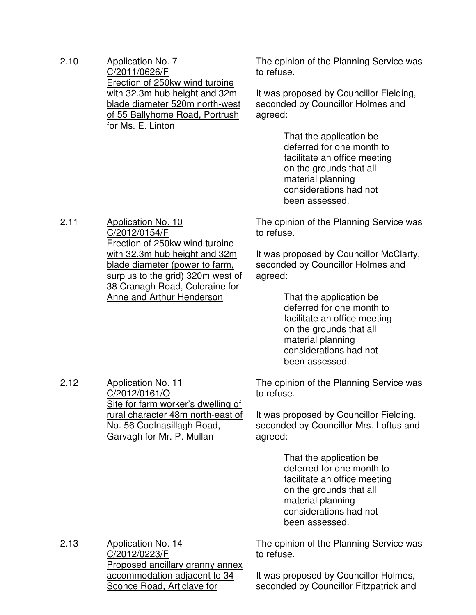2.10 Application No. 7 C/2011/0626/F Erection of 250kw wind turbine with 32.3m hub height and 32m blade diameter 520m north-west of 55 Ballyhome Road, Portrush for Ms. E. Linton

The opinion of the Planning Service was to refuse.

It was proposed by Councillor Fielding, seconded by Councillor Holmes and agreed:

> That the application be deferred for one month to facilitate an office meeting on the grounds that all material planning considerations had not been assessed.

The opinion of the Planning Service was to refuse.

It was proposed by Councillor McClarty, seconded by Councillor Holmes and agreed:

> That the application be deferred for one month to facilitate an office meeting on the grounds that all material planning considerations had not been assessed.

The opinion of the Planning Service was to refuse.

It was proposed by Councillor Fielding, seconded by Councillor Mrs. Loftus and agreed:

> That the application be deferred for one month to facilitate an office meeting on the grounds that all material planning considerations had not been assessed.

The opinion of the Planning Service was to refuse.

2.13 Application No. 14 C/2012/0223/F Proposed ancillary granny annex accommodation adjacent to 34 Sconce Road, Articlave for

It was proposed by Councillor Holmes, seconded by Councillor Fitzpatrick and

2.11 Application No. 10 C/2012/0154/F Erection of 250kw wind turbine with 32.3m hub height and 32m blade diameter (power to farm, surplus to the grid) 320m west of 38 Cranagh Road, Coleraine for Anne and Arthur Henderson

2.12 Application No. 11

C/2012/0161/O

Site for farm worker's dwelling of rural character 48m north-east of No. 56 Coolnasillagh Road, Garvagh for Mr. P. Mullan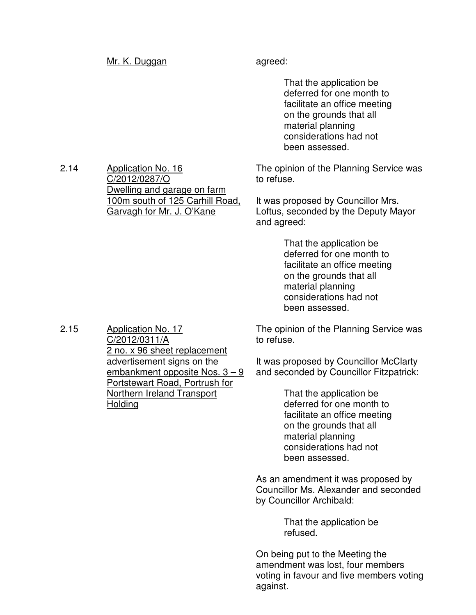#### Mr. K. Duggan agreed:

 That the application be deferred for one month to facilitate an office meeting on the grounds that all material planning considerations had not been assessed.

The opinion of the Planning Service was to refuse.

It was proposed by Councillor Mrs. Loftus, seconded by the Deputy Mayor and agreed:

> That the application be deferred for one month to facilitate an office meeting on the grounds that all material planning considerations had not been assessed.

The opinion of the Planning Service was to refuse.

It was proposed by Councillor McClarty and seconded by Councillor Fitzpatrick:

> That the application be deferred for one month to facilitate an office meeting on the grounds that all material planning considerations had not been assessed.

As an amendment it was proposed by Councillor Ms. Alexander and seconded by Councillor Archibald:

> That the application be refused.

On being put to the Meeting the amendment was lost, four members voting in favour and five members voting against.

2.14 Application No. 16 C/2012/0287/O Dwelling and garage on farm 100m south of 125 Carhill Road, Garvagh for Mr. J. O'Kane

2.15 Application No. 17 C/2012/0311/A 2 no. x 96 sheet replacement advertisement signs on the embankment opposite Nos. 3 – 9 Portstewart Road, Portrush for Northern Ireland Transport Holding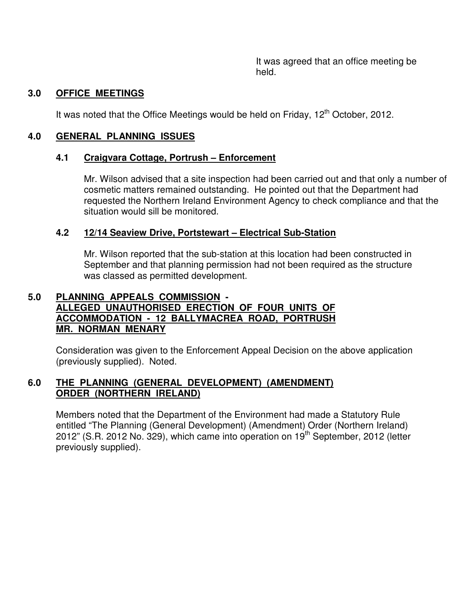It was agreed that an office meeting be held.

### **3.0 OFFICE MEETINGS**

It was noted that the Office Meetings would be held on Friday, 12<sup>th</sup> October, 2012.

### **4.0 GENERAL PLANNING ISSUES**

### **4.1 Craigvara Cottage, Portrush – Enforcement**

Mr. Wilson advised that a site inspection had been carried out and that only a number of cosmetic matters remained outstanding. He pointed out that the Department had requested the Northern Ireland Environment Agency to check compliance and that the situation would sill be monitored.

### **4.2 12/14 Seaview Drive, Portstewart – Electrical Sub-Station**

Mr. Wilson reported that the sub-station at this location had been constructed in September and that planning permission had not been required as the structure was classed as permitted development.

### **5.0 PLANNING APPEALS COMMISSION - ALLEGED UNAUTHORISED ERECTION OF FOUR UNITS OF ACCOMMODATION - 12 BALLYMACREA ROAD, PORTRUSH MR. NORMAN MENARY**

Consideration was given to the Enforcement Appeal Decision on the above application (previously supplied). Noted.

### **6.0 THE PLANNING (GENERAL DEVELOPMENT) (AMENDMENT) ORDER (NORTHERN IRELAND)**

 Members noted that the Department of the Environment had made a Statutory Rule entitled "The Planning (General Development) (Amendment) Order (Northern Ireland) 2012" (S.R. 2012 No. 329), which came into operation on  $19<sup>th</sup>$  September, 2012 (letter previously supplied).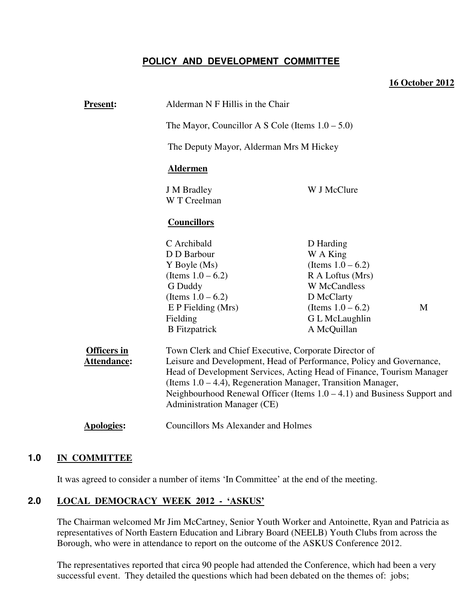## **POLICY AND DEVELOPMENT COMMITTEE**

#### **16 October 2012**

| <b>Present:</b>                   | Alderman N F Hillis in the Chair                                                                                                                                                                                                                                                                                                                                                               |                                                       |   |
|-----------------------------------|------------------------------------------------------------------------------------------------------------------------------------------------------------------------------------------------------------------------------------------------------------------------------------------------------------------------------------------------------------------------------------------------|-------------------------------------------------------|---|
|                                   | The Mayor, Councillor A S Cole (Items $1.0 - 5.0$ )                                                                                                                                                                                                                                                                                                                                            |                                                       |   |
|                                   | The Deputy Mayor, Alderman Mrs M Hickey                                                                                                                                                                                                                                                                                                                                                        |                                                       |   |
|                                   | <b>Aldermen</b>                                                                                                                                                                                                                                                                                                                                                                                |                                                       |   |
|                                   | <b>J</b> M Bradley<br>W T Creelman                                                                                                                                                                                                                                                                                                                                                             | W J McClure                                           |   |
|                                   | <b>Councillors</b>                                                                                                                                                                                                                                                                                                                                                                             |                                                       |   |
|                                   | C Archibald<br>D D Barbour<br>Y Boyle (Ms)                                                                                                                                                                                                                                                                                                                                                     | D Harding<br>W A King<br>(Items $1.0 - 6.2$ )         |   |
|                                   | (Items $1.0 - 6.2$ )<br>G Duddy<br>(Items $1.0 - 6.2$ )                                                                                                                                                                                                                                                                                                                                        | R A Loftus (Mrs)<br><b>W</b> McCandless<br>D McClarty |   |
|                                   | $E$ P Fielding (Mrs)<br>Fielding<br><b>B</b> Fitzpatrick                                                                                                                                                                                                                                                                                                                                       | (Items $1.0 - 6.2$ )<br>G L McLaughlin<br>A McQuillan | M |
| <b>Officers in</b><br>Attendance: | Town Clerk and Chief Executive, Corporate Director of<br>Leisure and Development, Head of Performance, Policy and Governance,<br>Head of Development Services, Acting Head of Finance, Tourism Manager<br>(Items $1.0 - 4.4$ ), Regeneration Manager, Transition Manager,<br>Neighbourhood Renewal Officer (Items $1.0 - 4.1$ ) and Business Support and<br><b>Administration Manager (CE)</b> |                                                       |   |
| <b>Apologies:</b>                 | <b>Councillors Ms Alexander and Holmes</b>                                                                                                                                                                                                                                                                                                                                                     |                                                       |   |

#### **1.0 IN COMMITTEE**

It was agreed to consider a number of items 'In Committee' at the end of the meeting.

### **2.0 LOCAL DEMOCRACY WEEK 2012 - 'ASKUS'**

The Chairman welcomed Mr Jim McCartney, Senior Youth Worker and Antoinette, Ryan and Patricia as representatives of North Eastern Education and Library Board (NEELB) Youth Clubs from across the Borough, who were in attendance to report on the outcome of the ASKUS Conference 2012.

The representatives reported that circa 90 people had attended the Conference, which had been a very successful event. They detailed the questions which had been debated on the themes of: jobs;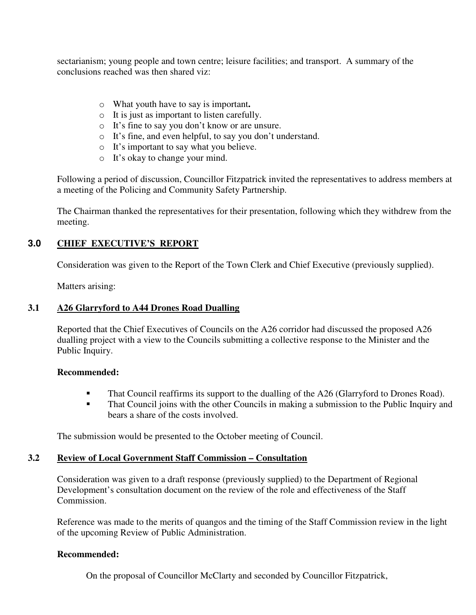sectarianism; young people and town centre; leisure facilities; and transport. A summary of the conclusions reached was then shared viz:

- o What youth have to say is important**.**
- o It is just as important to listen carefully.
- o It's fine to say you don't know or are unsure.
- o It's fine, and even helpful, to say you don't understand.
- o It's important to say what you believe.
- o It's okay to change your mind.

Following a period of discussion, Councillor Fitzpatrick invited the representatives to address members at a meeting of the Policing and Community Safety Partnership.

The Chairman thanked the representatives for their presentation, following which they withdrew from the meeting.

### **3.0 CHIEF EXECUTIVE'S REPORT**

Consideration was given to the Report of the Town Clerk and Chief Executive (previously supplied).

Matters arising:

#### **3.1 A26 Glarryford to A44 Drones Road Dualling**

Reported that the Chief Executives of Councils on the A26 corridor had discussed the proposed A26 dualling project with a view to the Councils submitting a collective response to the Minister and the Public Inquiry.

#### **Recommended:**

- That Council reaffirms its support to the dualling of the A26 (Glarryford to Drones Road).
- **That Council joins with the other Councils in making a submission to the Public Inquiry and** bears a share of the costs involved.

The submission would be presented to the October meeting of Council.

#### **3.2 Review of Local Government Staff Commission – Consultation**

Consideration was given to a draft response (previously supplied) to the Department of Regional Development's consultation document on the review of the role and effectiveness of the Staff Commission.

Reference was made to the merits of quangos and the timing of the Staff Commission review in the light of the upcoming Review of Public Administration.

#### **Recommended:**

On the proposal of Councillor McClarty and seconded by Councillor Fitzpatrick,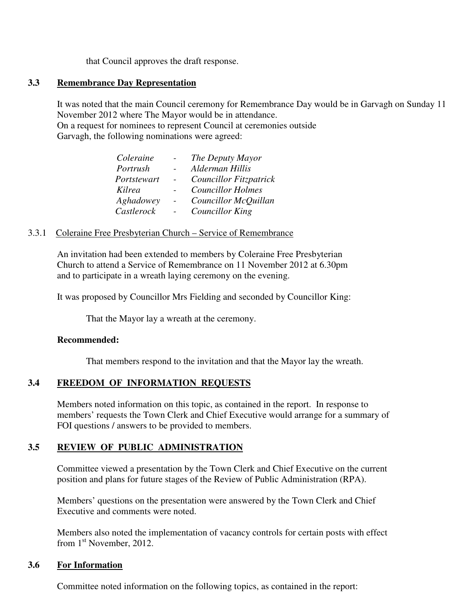that Council approves the draft response.

#### **3.3 Remembrance Day Representation**

It was noted that the main Council ceremony for Remembrance Day would be in Garvagh on Sunday 11 November 2012 where The Mayor would be in attendance.

 On a request for nominees to represent Council at ceremonies outside Garvagh, the following nominations were agreed:

| Coleraine   | The Deputy Mayor              |
|-------------|-------------------------------|
| Portrush    | Alderman Hillis               |
| Portstewart | <b>Councillor Fitzpatrick</b> |
| Kilrea      | <b>Councillor Holmes</b>      |
| Aghadowey   | Councillor McQuillan          |
| Castlerock  | Councillor King               |
|             |                               |

#### 3.3.1 Coleraine Free Presbyterian Church – Service of Remembrance

An invitation had been extended to members by Coleraine Free Presbyterian Church to attend a Service of Remembrance on 11 November 2012 at 6.30pm and to participate in a wreath laying ceremony on the evening.

It was proposed by Councillor Mrs Fielding and seconded by Councillor King:

That the Mayor lay a wreath at the ceremony.

#### **Recommended:**

That members respond to the invitation and that the Mayor lay the wreath.

#### **3.4 FREEDOM OF INFORMATION REQUESTS**

 Members noted information on this topic, as contained in the report. In response to members' requests the Town Clerk and Chief Executive would arrange for a summary of FOI questions / answers to be provided to members.

#### **3.5 REVIEW OF PUBLIC ADMINISTRATION**

 Committee viewed a presentation by the Town Clerk and Chief Executive on the current position and plans for future stages of the Review of Public Administration (RPA).

 Members' questions on the presentation were answered by the Town Clerk and Chief Executive and comments were noted.

 Members also noted the implementation of vacancy controls for certain posts with effect from  $1<sup>st</sup>$  November, 2012.

#### **3.6 For Information**

Committee noted information on the following topics, as contained in the report: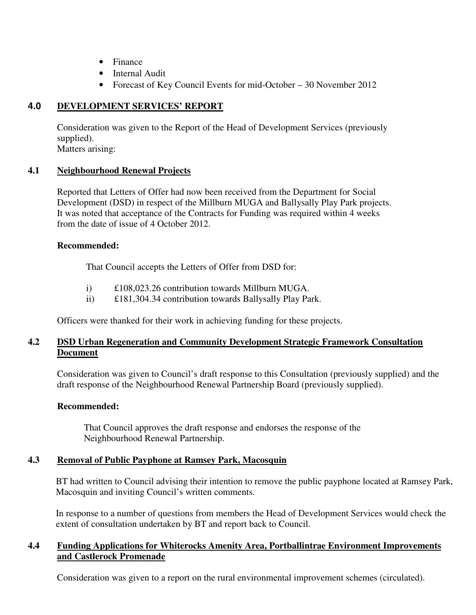- Finance
- Internal Audit
- Forecast of Key Council Events for mid-October 30 November 2012

### **4.0 DEVELOPMENT SERVICES' REPORT**

 Consideration was given to the Report of the Head of Development Services (previously supplied). Matters arising:

# **4.1 Neighbourhood Renewal Projects**

 Reported that Letters of Offer had now been received from the Department for Social Development (DSD) in respect of the Millburn MUGA and Ballysally Play Park projects. It was noted that acceptance of the Contracts for Funding was required within 4 weeks from the date of issue of 4 October 2012.

### **Recommended:**

That Council accepts the Letters of Offer from DSD for:

- i) £108,023.26 contribution towards Millburn MUGA.
- ii) £181,304.34 contribution towards Ballysally Play Park.

Officers were thanked for their work in achieving funding for these projects.

### **4.2 DSD Urban Regeneration and Community Development Strategic Framework Consultation Document**

Consideration was given to Council's draft response to this Consultation (previously supplied) and the draft response of the Neighbourhood Renewal Partnership Board (previously supplied).

### **Recommended:**

 That Council approves the draft response and endorses the response of the Neighbourhood Renewal Partnership.

### **4.3 Removal of Public Payphone at Ramsey Park, Macosquin**

BT had written to Council advising their intention to remove the public payphone located at Ramsey Park, Macosquin and inviting Council's written comments.

In response to a number of questions from members the Head of Development Services would check the extent of consultation undertaken by BT and report back to Council.

### **4.4 Funding Applications for Whiterocks Amenity Area, Portballintrae Environment Improvements and Castlerock Promenade**

Consideration was given to a report on the rural environmental improvement schemes (circulated).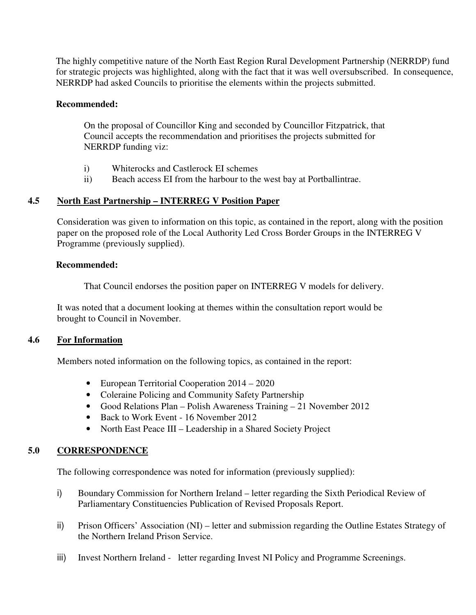The highly competitive nature of the North East Region Rural Development Partnership (NERRDP) fund for strategic projects was highlighted, along with the fact that it was well oversubscribed. In consequence, NERRDP had asked Councils to prioritise the elements within the projects submitted.

#### **Recommended:**

On the proposal of Councillor King and seconded by Councillor Fitzpatrick, that Council accepts the recommendation and prioritises the projects submitted for NERRDP funding viz:

- i) Whiterocks and Castlerock EI schemes
- ii) Beach access EI from the harbour to the west bay at Portballintrae.

### **4.5 North East Partnership – INTERREG V Position Paper**

Consideration was given to information on this topic, as contained in the report, along with the position paper on the proposed role of the Local Authority Led Cross Border Groups in the INTERREG V Programme (previously supplied).

#### **Recommended:**

That Council endorses the position paper on INTERREG V models for delivery.

 It was noted that a document looking at themes within the consultation report would be brought to Council in November.

#### **4.6 For Information**

Members noted information on the following topics, as contained in the report:

- European Territorial Cooperation 2014 2020
- Coleraine Policing and Community Safety Partnership
- Good Relations Plan Polish Awareness Training 21 November 2012
- Back to Work Event 16 November 2012
- North East Peace III Leadership in a Shared Society Project

### **5.0 CORRESPONDENCE**

The following correspondence was noted for information (previously supplied):

- i) Boundary Commission for Northern Ireland letter regarding the Sixth Periodical Review of Parliamentary Constituencies Publication of Revised Proposals Report.
- ii) Prison Officers' Association (NI) letter and submission regarding the Outline Estates Strategy of the Northern Ireland Prison Service.
- iii) Invest Northern Ireland letter regarding Invest NI Policy and Programme Screenings.